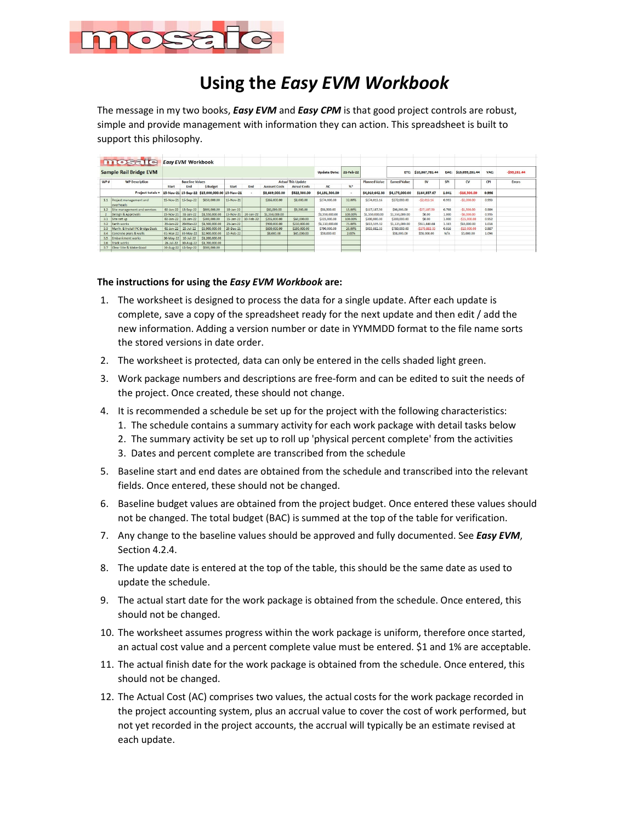

## **Using the** *Easy EVM Workbook*

The message in my two books, *Easy EVM* and *Easy CPM* is that good project controls are robust, simple and provide management with information they can action. This spreadsheet is built to support this philosophy.

|                  | mosafe                                  |                     | <b>Easy EVM Workbook</b> |                                               |                     |     |                      |                           |                        |         |                      |                     |                 |       |                 |       |               |
|------------------|-----------------------------------------|---------------------|--------------------------|-----------------------------------------------|---------------------|-----|----------------------|---------------------------|------------------------|---------|----------------------|---------------------|-----------------|-------|-----------------|-------|---------------|
|                  | <b>Sample Rail Bridge EVM</b>           |                     |                          |                                               |                     |     |                      |                           | Update Date: 21-Feb-22 |         |                      | ETC:                | \$10,867,781.44 | EAC:  | \$15,059,281.44 | VAC:  | $-559,281.44$ |
| $WP$ #           | <b>WP Description</b>                   |                     | <b>Baseline Values</b>   |                                               |                     |     |                      | <b>Actual This Update</b> |                        |         | <b>Planned Value</b> | <b>Earned Value</b> | <b>SV</b>       | SPI   | CV              | CPI   | <b>Errors</b> |
|                  |                                         | Start               | <b>End</b>               | <b>S</b> Budget                               | Start               | End | <b>Account Costs</b> | <b>Acrual Costs</b>       | AC                     | %       |                      |                     |                 |       |                 |       |               |
|                  | Project totals =                        |                     |                          | 15-Nov-21 15-Sep-22 \$15,000,000.00 15-Nov-21 |                     |     | \$3,669,000.00       | \$522,500.00              | \$4,191,500.00         |         | \$4,010,642.33       | \$4,175,000.00      | \$164,357.67    | 1.041 | $-516,500,00$   | 0.996 |               |
|                  | 1.1 Project management and<br>overheads |                     | 15-Nov-21 15-Sep-22      | \$850,000.00                                  | 15-Nov-21           |     | \$266,000.00         | \$8,000.00                | \$274,000.00           | 32,00%  | \$274,013.16         | \$272,000.00        | $-52,013.16$    | 0.993 | $-$ \$2,000.00  | 0.993 |               |
| 1.2              | Site management and services            | $02 - Jan - 22$     | 15-Sep-22                | S600,000.00                                   | $10$ -Jan-22        |     | \$82,000.00          | \$9,500.00                | \$91,500.00            | 15.00%  | S117,187.50          | \$90,000.00         | -S27.187.50     | 0.768 | $-S1,500,00$    | 0.984 |               |
|                  | Design & Approvals                      | 15-Nov-21           | $31 - Jan - 22$          | \$1,550,000.00                                | 15-Nov-21 20-Jan-22 |     | \$1,558,000,00       |                           | \$1,558,000.00         | 100,00% | \$1,550,000.00       | \$1,550,000.00      | \$0.00          | 1.000 | $-$ \$8,000,00  | 0.995 |               |
| 3.1              | Site set up                             | $02 - Jan - 22$     | $31 - Jan - 22$          | \$300,000.00                                  | 15-Jan-22 10-Feb-22 |     | \$255,000.00         | \$60,000,00               | \$315,000.00           | 100,00% | \$300,000,00         | \$300,000.00        | \$0.00          | 1,000 | $-515,000,00$   | 0.952 |               |
| 3.2              | Earth works                             | 20-Jan-22           | 20-Mar-22                | \$1,500,000.00                                | $25$ -Jan- $22$     |     | \$900,000.00         | \$210,000.00              | \$1,110,000.00         | 75,00%  | \$813,559.32         | \$1,125,000.00      | \$311,440.68    | 1.383 | \$15,000.00     | 1.014 |               |
| 3.3              | Manfr. & Install PC Bridge Deck         | $02$ -Jan-22        | $25 - Jul - 22$          | \$3,900,000.00                                | 20-Dec-21           |     | \$600,000.00         | \$190,000.00              | \$790,000.00           | 20.00%  | \$955,882.35         | \$780,000.00        | $-5175,882.35$  | 0.816 | $-510,000,00$   | 0.987 |               |
| 3.4              | Concrete piers & walls                  |                     | 01-Mar-22 30-May-22      | \$2,900,000,00                                | 15-Feb-22           |     | \$8,000.00           | \$45,000.00               | \$53,000.00            | 2.00%   |                      | \$58,000.00         | \$58,000.00     | N/A   | \$5,000.00      | 1.094 |               |
| 3.5 <sub>1</sub> | <b>Embankment works</b>                 | 30-May-22           | $10 - Ju - 22$           | \$1,200,000,00                                |                     |     |                      |                           |                        |         |                      |                     |                 |       |                 |       |               |
| 3.6              | Track works                             | $26 - 14 - 22$      | 30-Aug-22                | \$1,700,000,00                                |                     |     |                      |                           |                        |         |                      |                     |                 |       |                 |       |               |
| 3.7              | Clear Site & Make Good                  | 30-Aug-22 15-Sep-22 |                          | \$500,000.00                                  |                     |     |                      |                           |                        |         |                      |                     |                 |       |                 |       |               |

## **The instructions for using the** *Easy EVM Workbook* **are:**

- 1. The worksheet is designed to process the data for a single update. After each update is complete, save a copy of the spreadsheet ready for the next update and then edit / add the new information. Adding a version number or date in YYMMDD format to the file name sorts the stored versions in date order.
- 2. The worksheet is protected, data can only be entered in the cells shaded light green.
- 3. Work package numbers and descriptions are free-form and can be edited to suit the needs of the project. Once created, these should not change.
- 4. It is recommended a schedule be set up for the project with the following characteristics:
	- 1. The schedule contains a summary activity for each work package with detail tasks below
	- 2. The summary activity be set up to roll up 'physical percent complete' from the activities
	- 3. Dates and percent complete are transcribed from the schedule
- 5. Baseline start and end dates are obtained from the schedule and transcribed into the relevant fields. Once entered, these should not be changed.
- 6. Baseline budget values are obtained from the project budget. Once entered these values should not be changed. The total budget (BAC) is summed at the top of the table for verification.
- 7. Any change to the baseline values should be approved and fully documented. See *Easy EVM*, Section 4.2.4.
- 8. The update date is entered at the top of the table, this should be the same date as used to update the schedule.
- 9. The actual start date for the work package is obtained from the schedule. Once entered, this should not be changed.
- 10. The worksheet assumes progress within the work package is uniform, therefore once started, an actual cost value and a percent complete value must be entered. \$1 and 1% are acceptable.
- 11. The actual finish date for the work package is obtained from the schedule. Once entered, this should not be changed.
- 12. The Actual Cost (AC) comprises two values, the actual costs for the work package recorded in the project accounting system, plus an accrual value to cover the cost of work performed, but not yet recorded in the project accounts, the accrual will typically be an estimate revised at each update.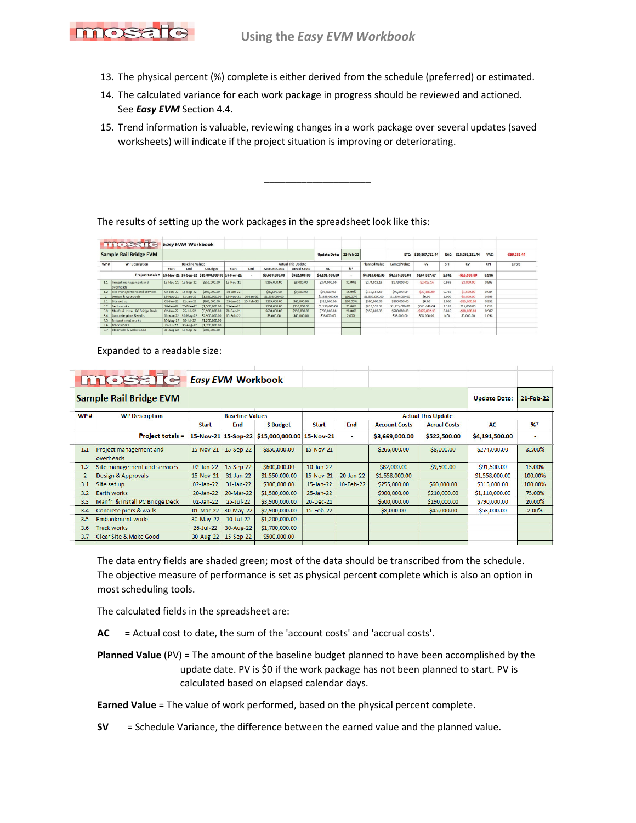

- 13. The physical percent (%) complete is either derived from the schedule (preferred) or estimated.
- 14. The calculated variance for each work package in progress should be reviewed and actioned. See *Easy EVM* Section 4.4.
- 15. Trend information is valuable, reviewing changes in a work package over several updates (saved worksheets) will indicate if the project situation is improving or deteriorating.

 $\overline{\phantom{a}}$  , where  $\overline{\phantom{a}}$  , where  $\overline{\phantom{a}}$ 

The results of setting up the work packages in the spreadsheet look like this:

| mosate                              |                 |                 |                                                            |                                                                 |                          |                                                                                                |                     |                           |         |                             |                     |                |                 |                |                      |               |
|-------------------------------------|-----------------|-----------------|------------------------------------------------------------|-----------------------------------------------------------------|--------------------------|------------------------------------------------------------------------------------------------|---------------------|---------------------------|---------|-----------------------------|---------------------|----------------|-----------------|----------------|----------------------|---------------|
| <b>Sample Rail Bridge EVM</b>       |                 |                 |                                                            |                                                                 |                          |                                                                                                |                     |                           |         |                             | ETC:                |                |                 |                | VAC:                 | $-$59,281.44$ |
| <b>WP</b> Description               |                 |                 |                                                            |                                                                 |                          |                                                                                                |                     |                           |         | <b>Planned Value</b>        | <b>Earned Value</b> | <b>SV</b>      | SPI             | CV             | CPI                  | <b>Errors</b> |
|                                     | Start           | <b>End</b>      | <b>S</b> Budget                                            | Start                                                           | End                      | <b>Account Costs</b>                                                                           | <b>Acrual Costs</b> | AC.                       |         |                             |                     |                |                 |                |                      |               |
| Project totals =                    |                 |                 |                                                            |                                                                 | $\overline{\phantom{a}}$ | \$3,669,000.00                                                                                 | \$522,500.00        | \$4,191,500.00            |         | \$4,010,642.33              |                     | \$164,357.67   | 1.041           | $-516,500,00$  | 0.996                |               |
| Project management and<br>overheads |                 |                 | \$850,000.00                                               | 15-Nov-21                                                       |                          | \$266,000,00                                                                                   | \$8,000.00          | \$274,000.00              | 32.00%  | \$274,013.16                | \$272,000.00        | $-52,013.16$   | 0.993           | $-$ \$2.000.00 | 0.993                |               |
| Site management and services        | 02-Jan-22       | 15-Sep-22       | S600,000.00                                                | $10 - Jan - 22$                                                 |                          | \$82,000.00                                                                                    | \$9,500.00          | \$91,500.00               | 15.00%  | \$117,187.50                | \$90,000.00         | -S27.187.50    | 0.768           | $-S1.500.00$   | 0.984                |               |
| Design & Approvals                  | 15-Nov-21       | $31 - Jan - 22$ | \$1,550,000,00                                             |                                                                 |                          | \$1,558,000,00                                                                                 |                     | \$1,558,000.00            | 100,00% | \$1,550,000,00              | \$1,550,000.00      | \$0.00         | 1,000           | $-$ \$8,000,00 | 0.995                |               |
| Site set up                         | $02 - Jan - 22$ | $31 - Jan - 22$ | \$300,000.00                                               |                                                                 |                          | \$255,000.00                                                                                   | \$60,000,00         | \$315,000.00              | 100,00% | \$300,000,00                | \$300,000.00        | \$0.00         | 1,000           | $-515,000,00$  | 0.952                |               |
| Earth works                         | $20$ -Jan- $22$ | 20-Mar-22       | \$1,500,000.00                                             | $25 - Jan-22$                                                   |                          | \$900,000,00                                                                                   | \$210,000.00        | \$1,110,000.00            | 75,00%  | \$813,559.32                | \$1,125,000.00      | \$311,440.68   | 1.383           | \$15,000.00    | 1.014                |               |
| Manfr. & Install PC Bridge Deck     | 02-Jan-22       | $25 - Jul - 22$ | \$3,900,000.00                                             | 20-Dec-21                                                       |                          | \$600,000.00                                                                                   | \$190,000.00        | \$790,000.00              | 20.00%  | \$955,882.35                | \$780,000.00        | $-5175.882.35$ | 0.816           | $-510,000,00$  | 0.987                |               |
| Concrete piers & walls              |                 | 30-May-22       | \$2,900,000,00                                             | 15-Feb-22                                                       |                          | \$8,000.00                                                                                     | \$45,000.00         | \$53,000.00               | 2.00%   |                             | \$58,000.00         | \$58,000.00    | N/A             | \$5,000.00     | 1.094                |               |
| Embankment works                    |                 | $10 - Jul - 22$ | \$1,200,000,00                                             |                                                                 |                          |                                                                                                |                     |                           |         |                             |                     |                |                 |                |                      |               |
| Track works                         | $26 - 14 - 22$  | 30-Aug-22       | \$1,700,000.00                                             |                                                                 |                          |                                                                                                |                     |                           |         |                             |                     |                |                 |                |                      |               |
| Clear Site & Make Good              |                 |                 | \$500,000.00                                               |                                                                 |                          |                                                                                                |                     |                           |         |                             |                     |                |                 |                |                      |               |
|                                     |                 |                 | 15-Nov-21<br>01-Mar-22<br>30-May-22<br>30-Aug-22 15-Sep-22 | <b>Easy EVM Workbook</b><br><b>Baseline Values</b><br>15-Sep-22 |                          | 15-Nov-21 15-Sep-22 \$15,000,000.00 15-Nov-21<br>20-Jan-22<br>15-Nov-21<br>15-Jan-22 10-Feb-22 |                     | <b>Actual This Update</b> |         | Update Date: 21-Feb-22<br>% |                     | \$4,175,000.00 | \$10,867,781.44 |                | EAC: \$15,059,281.44 |               |

## Expanded to a readable size:

|                | $\pi$<br>$\begin{bmatrix} 1 & 1 & 1 \\ 0 & 1 & 1 \end{bmatrix}$ | <b>Easy EVM Workbook</b> |                                                     |                                               |              |           |                      |                     |                     |           |
|----------------|-----------------------------------------------------------------|--------------------------|-----------------------------------------------------|-----------------------------------------------|--------------|-----------|----------------------|---------------------|---------------------|-----------|
|                | <b>Sample Rail Bridge EVM</b>                                   |                          |                                                     |                                               |              |           |                      |                     | <b>Update Date:</b> | 21-Feb-22 |
| WP#            | <b>WP Description</b>                                           |                          | <b>Baseline Values</b><br><b>Actual This Update</b> |                                               |              |           |                      |                     |                     |           |
|                |                                                                 | <b>Start</b>             | End                                                 | \$Budget                                      | <b>Start</b> | End       | <b>Account Costs</b> | <b>Acrual Costs</b> | AC                  | %         |
|                | <b>Project totals =</b>                                         |                          |                                                     | 15-Nov-21 15-Sep-22 \$15,000,000.00 15-Nov-21 |              | ٠         | \$3,669,000.00       | \$522,500.00        | \$4,191,500.00      | ٠         |
| 1.1            | Project management and<br>overheads                             | 15-Nov-21                | 15-Sep-22                                           | \$850,000.00                                  | 15-Nov-21    |           | \$266,000.00         | \$8,000.00          | \$274,000.00        | 32.00%    |
| 1.2            | Site management and services                                    | 02-Jan-22                | 15-Sep-22                                           | \$600,000.00                                  | $10$ -Jan-22 |           | \$82,000.00          | \$9,500.00          | \$91,500.00         | 15.00%    |
| $\overline{2}$ | Design & Approvals                                              | 15-Nov-21                | $31$ -Jan-22                                        | \$1,550,000.00                                | 15-Nov-21    | 20-Jan-22 | \$1,558,000.00       |                     | \$1,558,000.00      | 100.00%   |
| 3.1            | Site set up                                                     | 02-Jan-22                | $31$ -Jan-22                                        | \$300,000.00                                  | $15$ -Jan-22 | 10-Feb-22 | \$255,000.00         | \$60,000.00         | \$315,000.00        | 100.00%   |
| 3.2            | Earth works                                                     | 20-Jan-22                | 20-Mar-22                                           | \$1,500,000.00                                | 25-Jan-22    |           | \$900,000.00         | \$210,000.00        | \$1,110,000.00      | 75.00%    |
| 3.3            | Manfr. & Install PC Bridge Deck                                 | 02-Jan-22                | $25$ -Jul-22                                        | \$3,900,000.00                                | 20-Dec-21    |           | \$600,000.00         | \$190,000.00        | \$790,000.00        | 20.00%    |
| 3.4            | Concrete piers & walls                                          | 01-Mar-22                | 30-May-22                                           | \$2,900,000.00                                | 15-Feb-22    |           | \$8,000.00           | \$45,000.00         | \$53,000.00         | 2.00%     |
| 3.5            | <b>Embankment works</b>                                         | 30-May-22                | $10$ -Jul-22                                        | \$1,200,000.00                                |              |           |                      |                     |                     |           |
| 3.6            | <b>Track works</b>                                              | 26-Jul-22                | 30-Aug-22                                           | \$1,700,000.00                                |              |           |                      |                     |                     |           |
| 3.7            | Clear Site & Make Good                                          | 30-Aug-22                | 15-Sep-22                                           | \$500,000.00                                  |              |           |                      |                     |                     |           |
|                |                                                                 |                          |                                                     |                                               |              |           |                      |                     |                     |           |

The data entry fields are shaded green; most of the data should be transcribed from the schedule. The objective measure of performance is set as physical percent complete which is also an option in most scheduling tools.

The calculated fields in the spreadsheet are:

- **AC** = Actual cost to date, the sum of the 'account costs' and 'accrual costs'.
- **Planned Value** (PV) = The amount of the baseline budget planned to have been accomplished by the update date. PV is \$0 if the work package has not been planned to start. PV is calculated based on elapsed calendar days.
- **Earned Value** = The value of work performed, based on the physical percent complete.
- **SV** = Schedule Variance, the difference between the earned value and the planned value.